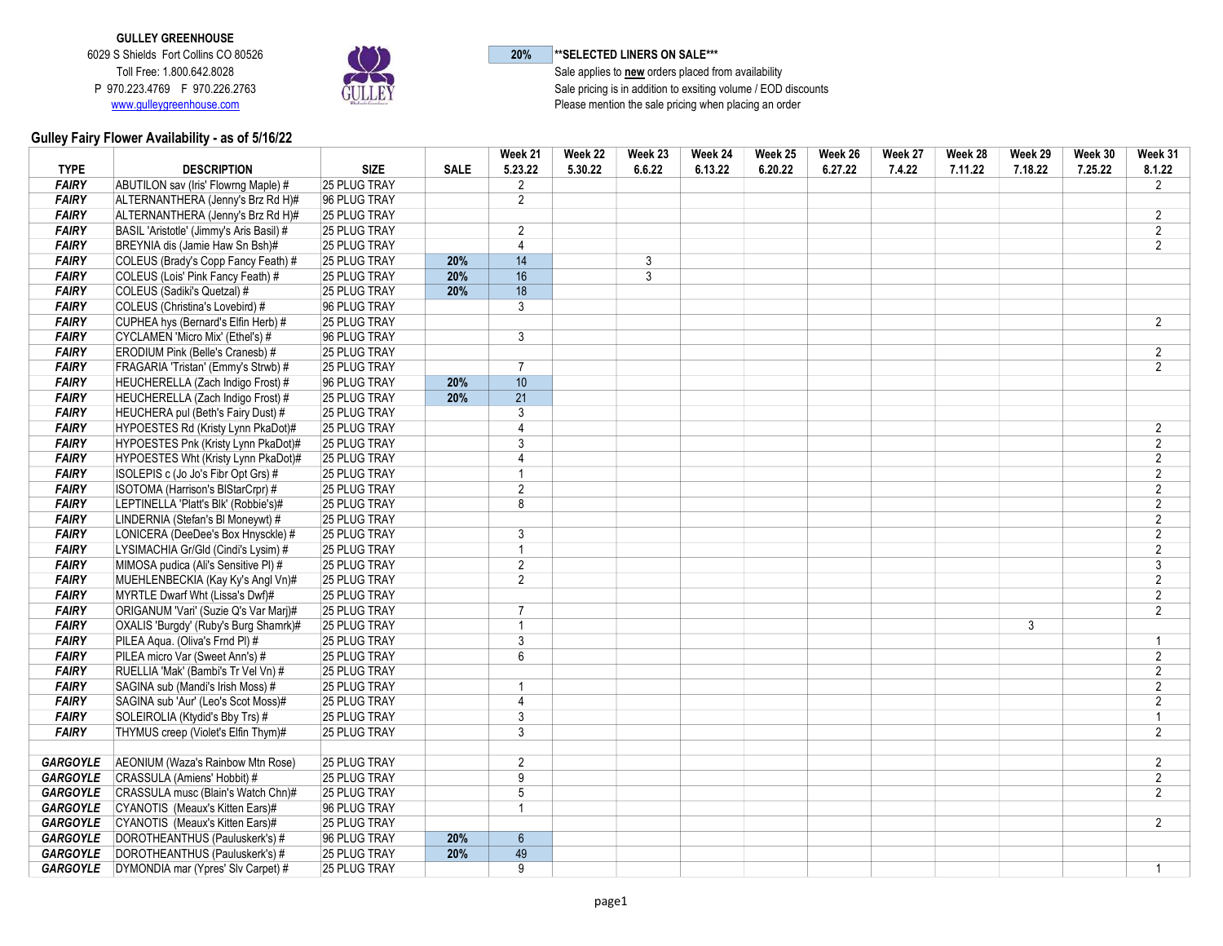GULLEY GREENHOUSE 6029 S Shields Fort Collins CO 80526 Toll Free: 1.800.642.8028 P 970.223.4769 F 970.226.2763 www.gulleygreenhouse.com



20% \*\*SELECTED LINERS ON SALE\*\*\*

Sale applies to **new** orders placed from availability Sale pricing is in addition to exsiting volume / EOD discounts Please mention the sale pricing when placing an order

## Gulley Fairy Flower Availability - as of 5/16/22

|                 |                                                |                     |             | Week 21         | Week 22 | Week 23        | Week 24 | Week 25 | Week 26 | Week 27 | Week 28 | Week 29        | Week 30 | Week 31        |
|-----------------|------------------------------------------------|---------------------|-------------|-----------------|---------|----------------|---------|---------|---------|---------|---------|----------------|---------|----------------|
| <b>TYPE</b>     | <b>DESCRIPTION</b>                             | <b>SIZE</b>         | <b>SALE</b> | 5.23.22         | 5.30.22 | 6.6.22         | 6.13.22 | 6.20.22 | 6.27.22 | 7.4.22  | 7.11.22 | 7.18.22        | 7.25.22 | 8.1.22         |
| <b>FAIRY</b>    | ABUTILON sav (Iris' Flowrng Maple) #           | 25 PLUG TRAY        |             | $\overline{2}$  |         |                |         |         |         |         |         |                |         | $\overline{2}$ |
| <b>FAIRY</b>    | ALTERNANTHERA (Jenny's Brz Rd H)#              | 96 PLUG TRAY        |             | $\overline{2}$  |         |                |         |         |         |         |         |                |         |                |
| <b>FAIRY</b>    | ALTERNANTHERA (Jenny's Brz Rd H)#              | 25 PLUG TRAY        |             |                 |         |                |         |         |         |         |         |                |         | $\overline{2}$ |
| <b>FAIRY</b>    | BASIL 'Aristotle' (Jimmy's Aris Basil) #       | 25 PLUG TRAY        |             | $\overline{2}$  |         |                |         |         |         |         |         |                |         | $\overline{2}$ |
| <b>FAIRY</b>    | BREYNIA dis (Jamie Haw Sn Bsh)#                | 25 PLUG TRAY        |             | $\overline{4}$  |         |                |         |         |         |         |         |                |         | $\overline{2}$ |
| <b>FAIRY</b>    | COLEUS (Brady's Copp Fancy Feath) #            | 25 PLUG TRAY        | 20%         | 14              |         | 3              |         |         |         |         |         |                |         |                |
| <b>FAIRY</b>    | COLEUS (Lois' Pink Fancy Feath) #              | 25 PLUG TRAY        | 20%         | 16              |         | $\overline{3}$ |         |         |         |         |         |                |         |                |
| <b>FAIRY</b>    | COLEUS (Sadiki's Quetzal) #                    | 25 PLUG TRAY        | 20%         | $\overline{18}$ |         |                |         |         |         |         |         |                |         |                |
| <b>FAIRY</b>    | COLEUS (Christina's Lovebird) #                | 96 PLUG TRAY        |             | 3               |         |                |         |         |         |         |         |                |         |                |
| <b>FAIRY</b>    | CUPHEA hys (Bernard's Elfin Herb) #            | 25 PLUG TRAY        |             |                 |         |                |         |         |         |         |         |                |         | $\overline{2}$ |
| <b>FAIRY</b>    | CYCLAMEN 'Micro Mix' (Ethel's) #               | 96 PLUG TRAY        |             | 3               |         |                |         |         |         |         |         |                |         |                |
| <b>FAIRY</b>    | ERODIUM Pink (Belle's Cranesb) #               | 25 PLUG TRAY        |             |                 |         |                |         |         |         |         |         |                |         | $\overline{2}$ |
| <b>FAIRY</b>    | FRAGARIA 'Tristan' (Emmy's Strwb) #            | 25 PLUG TRAY        |             | $\overline{7}$  |         |                |         |         |         |         |         |                |         | $\overline{2}$ |
| <b>FAIRY</b>    | HEUCHERELLA (Zach Indigo Frost) #              | 96 PLUG TRAY        | 20%         | 10 <sup>°</sup> |         |                |         |         |         |         |         |                |         |                |
| <b>FAIRY</b>    | HEUCHERELLA (Zach Indigo Frost) #              | 25 PLUG TRAY        | 20%         | $\overline{21}$ |         |                |         |         |         |         |         |                |         |                |
| <b>FAIRY</b>    | HEUCHERA pul (Beth's Fairy Dust) #             | 25 PLUG TRAY        |             | 3               |         |                |         |         |         |         |         |                |         |                |
| <b>FAIRY</b>    | HYPOESTES Rd (Kristy Lynn PkaDot)#             | 25 PLUG TRAY        |             | $\overline{4}$  |         |                |         |         |         |         |         |                |         | $\overline{2}$ |
| <b>FAIRY</b>    | HYPOESTES Pnk (Kristy Lynn PkaDot)#            | <b>25 PLUG TRAY</b> |             | 3               |         |                |         |         |         |         |         |                |         | $\overline{2}$ |
| <b>FAIRY</b>    | HYPOESTES Wht (Kristy Lynn PkaDot)#            | 25 PLUG TRAY        |             | $\overline{4}$  |         |                |         |         |         |         |         |                |         | $\overline{2}$ |
| <b>FAIRY</b>    | ISOLEPIS c (Jo Jo's Fibr Opt Grs) #            | 25 PLUG TRAY        |             | 1               |         |                |         |         |         |         |         |                |         | $\overline{2}$ |
| <b>FAIRY</b>    | ISOTOMA (Harrison's BIStarCrpr) #              | 25 PLUG TRAY        |             | $\overline{c}$  |         |                |         |         |         |         |         |                |         | $\overline{2}$ |
| <b>FAIRY</b>    | LEPTINELLA 'Platt's Blk' (Robbie's)#           | 25 PLUG TRAY        |             | 8               |         |                |         |         |         |         |         |                |         | $\overline{2}$ |
| <b>FAIRY</b>    | LINDERNIA (Stefan's BI Moneywt) #              | 25 PLUG TRAY        |             |                 |         |                |         |         |         |         |         |                |         | $\overline{2}$ |
| <b>FAIRY</b>    | LONICERA (DeeDee's Box Hnysckle) #             | 25 PLUG TRAY        |             | 3               |         |                |         |         |         |         |         |                |         | $\overline{2}$ |
| <b>FAIRY</b>    | LYSIMACHIA Gr/Gld (Cindi's Lysim) #            | <b>25 PLUG TRAY</b> |             | $\overline{1}$  |         |                |         |         |         |         |         |                |         | $\overline{2}$ |
| <b>FAIRY</b>    | MIMOSA pudica (Ali's Sensitive PI) #           | 25 PLUG TRAY        |             | $\overline{2}$  |         |                |         |         |         |         |         |                |         | 3              |
| <b>FAIRY</b>    | MUEHLENBECKIA (Kay Ky's Angl Vn)#              | 25 PLUG TRAY        |             | $\overline{2}$  |         |                |         |         |         |         |         |                |         | $\overline{2}$ |
| <b>FAIRY</b>    | MYRTLE Dwarf Wht (Lissa's Dwf)#                | 25 PLUG TRAY        |             |                 |         |                |         |         |         |         |         |                |         | $\overline{2}$ |
| <b>FAIRY</b>    | ORIGANUM 'Vari' (Suzie Q's Var Marj)#          | 25 PLUG TRAY        |             | $\overline{7}$  |         |                |         |         |         |         |         |                |         | $\overline{2}$ |
| <b>FAIRY</b>    | OXALIS 'Burgdy' (Ruby's Burg Shamrk)#          | 25 PLUG TRAY        |             | $\overline{1}$  |         |                |         |         |         |         |         | $\overline{3}$ |         |                |
| <b>FAIRY</b>    | PILEA Agua. (Oliva's Frnd PI) #                | 25 PLUG TRAY        |             | $\overline{3}$  |         |                |         |         |         |         |         |                |         | $\mathbf{1}$   |
| <b>FAIRY</b>    | PILEA micro Var (Sweet Ann's) #                | 25 PLUG TRAY        |             | 6               |         |                |         |         |         |         |         |                |         | $\overline{2}$ |
| <b>FAIRY</b>    | RUELLIA 'Mak' (Bambi's Tr Vel Vn) #            | 25 PLUG TRAY        |             |                 |         |                |         |         |         |         |         |                |         | $\overline{2}$ |
| <b>FAIRY</b>    | SAGINA sub (Mandi's Irish Moss) #              | 25 PLUG TRAY        |             | 1               |         |                |         |         |         |         |         |                |         | $\overline{2}$ |
| <b>FAIRY</b>    | SAGINA sub 'Aur' (Leo's Scot Moss)#            | 25 PLUG TRAY        |             | $\overline{4}$  |         |                |         |         |         |         |         |                |         | $\overline{2}$ |
| <b>FAIRY</b>    | SOLEIROLIA (Ktydid's Bby Trs) #                | 25 PLUG TRAY        |             | $\overline{3}$  |         |                |         |         |         |         |         |                |         |                |
| <b>FAIRY</b>    | THYMUS creep (Violet's Elfin Thym)#            | 25 PLUG TRAY        |             | 3               |         |                |         |         |         |         |         |                |         | $\overline{2}$ |
|                 |                                                |                     |             |                 |         |                |         |         |         |         |         |                |         |                |
| <b>GARGOYLE</b> | AEONIUM (Waza's Rainbow Mtn Rose)              | 25 PLUG TRAY        |             | $\overline{2}$  |         |                |         |         |         |         |         |                |         | $2^{\circ}$    |
| <b>GARGOYLE</b> | CRASSULA (Amiens' Hobbit) #                    | 25 PLUG TRAY        |             | $\overline{9}$  |         |                |         |         |         |         |         |                |         | $\overline{2}$ |
| <b>GARGOYLE</b> | CRASSULA musc (Blain's Watch Chn)#             | <b>25 PLUG TRAY</b> |             | 5               |         |                |         |         |         |         |         |                |         | $\overline{2}$ |
| GARGOYLE        | CYANOTIS (Meaux's Kitten Ears)#                | 96 PLUG TRAY        |             | 1               |         |                |         |         |         |         |         |                |         |                |
| GARGOYLE        | CYANOTIS (Meaux's Kitten Ears)#                | 25 PLUG TRAY        |             |                 |         |                |         |         |         |         |         |                |         | $\overline{2}$ |
| GARGOYLE        | DOROTHEANTHUS (Pauluskerk's) #                 | 96 PLUG TRAY        | 20%         | $6\phantom{1}$  |         |                |         |         |         |         |         |                |         |                |
|                 | <b>GARGOYLE DOROTHEANTHUS</b> (Pauluskerk's) # | 25 PLUG TRAY        | 20%         | 49              |         |                |         |         |         |         |         |                |         |                |
| <b>GARGOYLE</b> | DYMONDIA mar (Ypres' Sly Carpet) #             | 25 PLUG TRAY        |             | 9               |         |                |         |         |         |         |         |                |         | $\mathbf{1}$   |